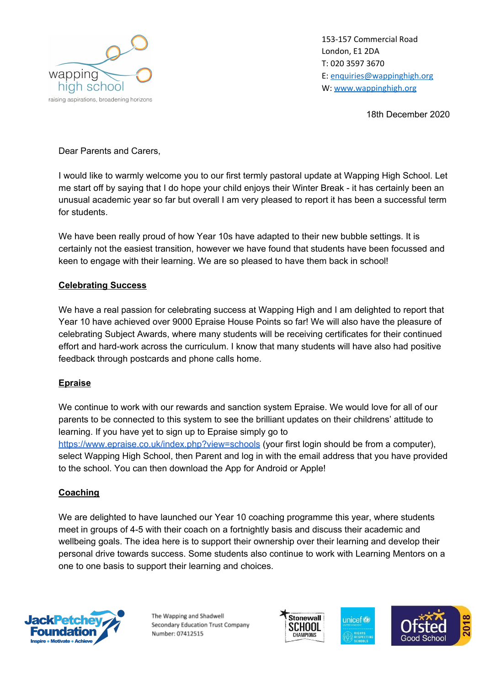

153-157 Commercial Road London, E1 2DA T: 020 3597 3670 E: [enquiries@wappinghigh.org](mailto:enquiries@wappinghigh.org) W: [www.wappinghigh.org](http://www.wappinghigh.org/)

18th December 2020

Dear Parents and Carers,

I would like to warmly welcome you to our first termly pastoral update at Wapping High School. Let me start off by saying that I do hope your child enjoys their Winter Break - it has certainly been an unusual academic year so far but overall I am very pleased to report it has been a successful term for students.

We have been really proud of how Year 10s have adapted to their new bubble settings. It is certainly not the easiest transition, however we have found that students have been focussed and keen to engage with their learning. We are so pleased to have them back in school!

## **Celebrating Success**

We have a real passion for celebrating success at Wapping High and I am delighted to report that Year 10 have achieved over 9000 Epraise House Points so far! We will also have the pleasure of celebrating Subject Awards, where many students will be receiving certificates for their continued effort and hard-work across the curriculum. I know that many students will have also had positive feedback through postcards and phone calls home.

## **Epraise**

We continue to work with our rewards and sanction system Epraise. We would love for all of our parents to be connected to this system to see the brilliant updates on their childrens' attitude to learning. If you have yet to sign up to Epraise simply go to <https://www.epraise.co.uk/index.php?view=schools> (your first login should be from a computer), select Wapping High School, then Parent and log in with the email address that you have provided to the school. You can then download the App for Android or Apple!

## **Coaching**

We are delighted to have launched our Year 10 coaching programme this year, where students meet in groups of 4-5 with their coach on a fortnightly basis and discuss their academic and wellbeing goals. The idea here is to support their ownership over their learning and develop their personal drive towards success. Some students also continue to work with Learning Mentors on a one to one basis to support their learning and choices.



The Wapping and Shadwell Secondary Education Trust Company Number: 07412515